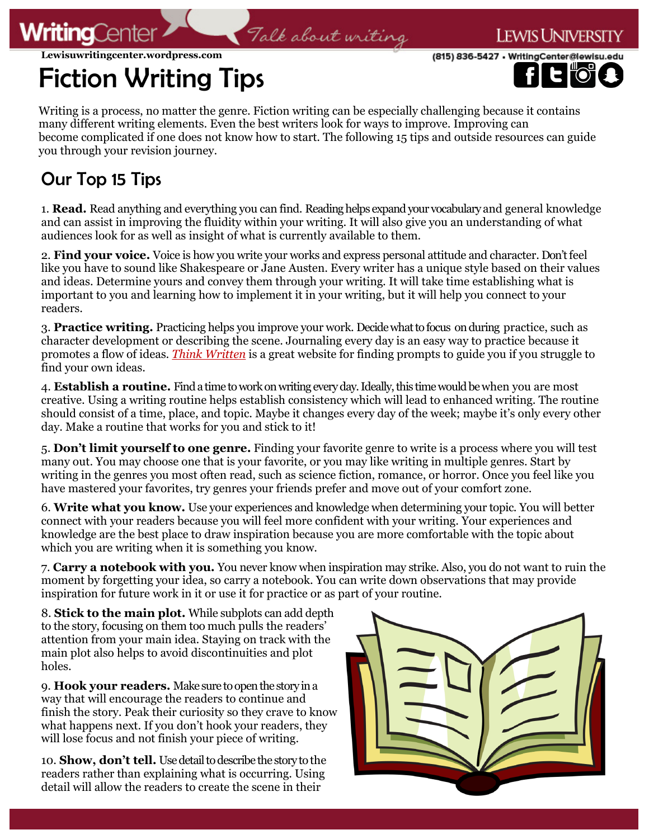

(815) 836-5427 · WritingCenter@lewisu

**Lewisuwritingcenter.wordpress.com**

## Fiction Writing Tips

Writing is a process, no matter the genre. Fiction writing can be especially challenging because it contains many different writing elements. Even the best writers look for ways to improve. Improving can become complicated if one does not know how to start. The following 15 tips and outside resources can guide you through your revision journey.

Talk about writing

## Our Top 15 Tips

**WritingCente** 

1. **Read.** Read anything and everything you can find. Reading helps expand your vocabulary and general knowledge and can assist in improving the fluidity within your writing. It will also give you an understanding of what audiences look for as well as insight of what is currently available to them.

2. **Find your voice.** Voice is how you write your works and express personal attitude and character. Don't feel like you have to sound like Shakespeare or Jane Austen. Every writer has a unique style based on their values and ideas. Determine yours and convey them through your writing. It will take time establishing what is important to you and learning how to implement it in your writing, but it will help you connect to your readers.

3. **Practice writing.** Practicing helps you improve your work. Decide what to focus on during practice, such as character development or describing the scene. Journaling every day is an easy way to practice because it promotes a flow of ideas. *[Think Written](https://thinkwritten.com/365-creative-writing-prompts/)* is a great website for finding prompts to guide you if you struggle to find your own ideas.

4. **Establish a routine.** Find a time to work on writing every day. Ideally, this time would be when you are most creative. Using a writing routine helps establish consistency which will lead to enhanced writing. The routine should consist of a time, place, and topic. Maybe it changes every day of the week; maybe it's only every other day. Make a routine that works for you and stick to it!

5. **Don't limit yourself to one genre.** Finding your favorite genre to write is a process where you will test many out. You may choose one that is your favorite, or you may like writing in multiple genres. Start by writing in the genres you most often read, such as science fiction, romance, or horror. Once you feel like you have mastered your favorites, try genres your friends prefer and move out of your comfort zone.

6. **Write what you know.** Use your experiences and knowledge when determining your topic. You will better connect with your readers because you will feel more confident with your writing. Your experiences and knowledge are the best place to draw inspiration because you are more comfortable with the topic about which you are writing when it is something you know.

7. **Carry a notebook with you.** You never know when inspiration may strike. Also, you do not want to ruin the moment by forgetting your idea, so carry a notebook. You can write down observations that may provide inspiration for future work in it or use it for practice or as part of your routine.

8. **Stick to the main plot.** While subplots can add depth to the story, focusing on them too much pulls the readers' attention from your main idea. Staying on track with the main plot also helps to avoid discontinuities and plot holes.

9. **Hook your readers.** Make sure to open the story in a way that will encourage the readers to continue and finish the story. Peak their curiosity so they crave to know what happens next. If you don't hook your readers, they will lose focus and not finish your piece of writing.

10. **Show, don't tell.** Use detail to describe the story to the readers rather than explaining what is occurring. Using detail will allow the readers to create the scene in their